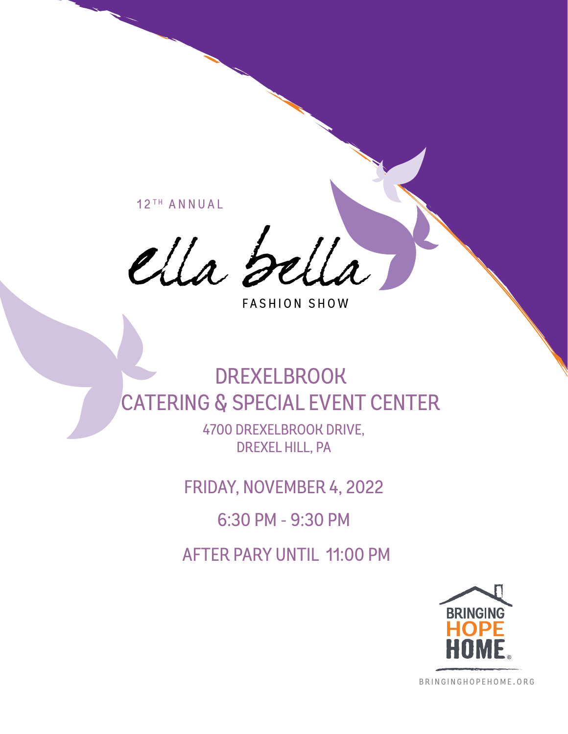12TH ANNUAL

ella bella

FASHION SHOW

# DREXELBROOK CATERING & SPECIAL EVENT CENTER

4700 DREXELBROOK DRIVE, DREXEL HILL, PA

FRIDAY, NOVEMBER 4, 2022

6:30 PM - 9:30 PM

AFTER PARY UNTIL 11:00 PM



b r i n g i n g h o p e h o m e . o r g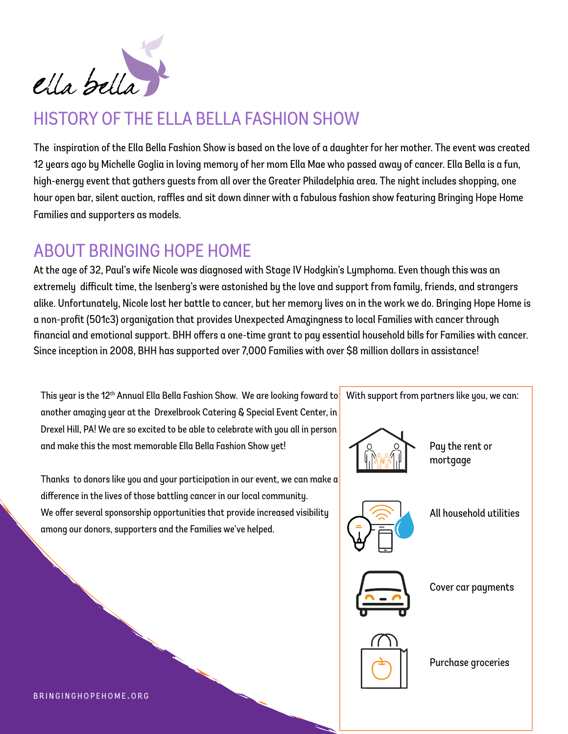

## HISTORY OF THE ELLA BELLA FASHION SHOW

The inspiration of the Ella Bella Fashion Show is based on the love of a daughter for her mother. The event was created 12 years ago by Michelle Goglia in loving memory of her mom Ella Mae who passed away of cancer. Ella Bella is a fun, high-energy event that gathers guests from all over the Greater Philadelphia area. The night includes shopping, one hour open bar, silent auction, raffles and sit down dinner with a fabulous fashion show featuring Bringing Hope Home Families and supporters as models.

## ABOUT BRINGING HOPE HOME

At the age of 32, Paul's wife Nicole was diagnosed with Stage IV Hodgkin's Lymphoma. Even though this was an extremely difficult time, the Isenberg's were astonished by the love and support from family, friends, and strangers alike. Unfortunately, Nicole lost her battle to cancer, but her memory lives on in the work we do. Bringing Hope Home is a non-profit (501c3) organization that provides Unexpected Amazingness to local Families with cancer through financial and emotional support. BHH offers a one-time grant to pay essential household bills for Families with cancer. Since inception in 2008, BHH has supported over 7,000 Families with over \$8 million dollars in assistance!

This year is the 12<sup>th</sup> Annual Ella Bella Fashion Show. We are looking foward to another amazing year at the Drexelbrook Catering & Special Event Center, in Drexel Hill, PA! We are so excited to be able to celebrate with you all in person and make this the most memorable Ella Bella Fashion Show yet!

Thanks to donors like you and your participation in our event, we can make a difference in the lives of those battling cancer in our local community. We offer several sponsorship opportunities that provide increased visibility among our donors, supporters and the Families we've helped.



Purchase groceries

BRINGINGHOPEHOME.ORG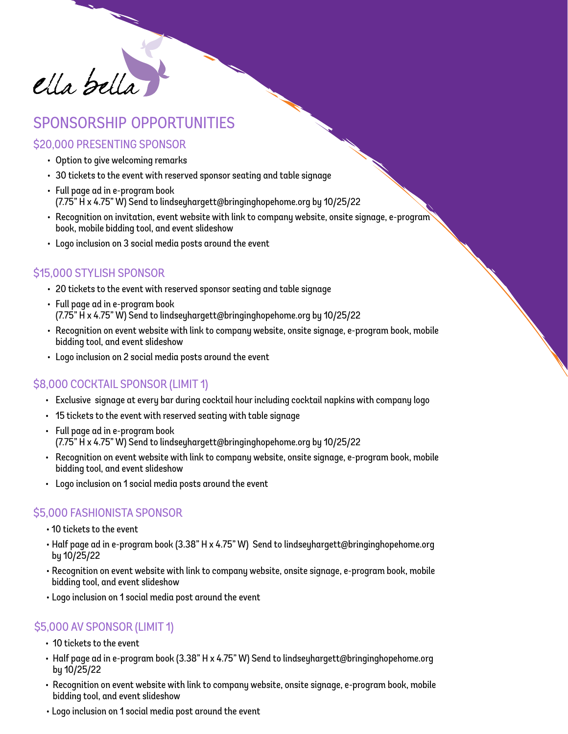

## sponsorship opportunities

#### \$20,000 PRESENTING SPONSOR

- Option to give welcoming remarks
- 30 tickets to the event with reserved sponsor seating and table signage
- Full page ad in e-program book (7.75" H x 4.75" W) Send to lindseyhargett@bringinghopehome.org by 10/25/22
- Recognition on invitation, event website with link to company website, onsite signage, e-program book, mobile bidding tool, and event slideshow
- Logo inclusion on 3 social media posts around the event

#### \$15,000 STYLISH SPONSOR

- 20 tickets to the event with reserved sponsor seating and table signage
- Full page ad in e-program book (7.75" H x 4.75" W) Send to lindseyhargett@bringinghopehome.org by 10/25/22
- Recognition on event website with link to company website, onsite signage, e-program book, mobile bidding tool, and event slideshow
- Logo inclusion on 2 social media posts around the event

#### \$8,000 COCKTAIL SPONSOR (LIMIT 1)

- Exclusive signage at every bar during cocktail hour including cocktail napkins with company logo
- 15 tickets to the event with reserved seating with table signage
- Full page ad in e-program book (7.75" H x 4.75" W) Send to lindseyhargett@bringinghopehome.org by 10/25/22
- Recognition on event website with link to company website, onsite signage, e-program book, mobile bidding tool, and event slideshow
- Logo inclusion on 1 social media posts around the event

#### \$5,000 FASHIONISTA SPONSOR

- 10 tickets to the event
- Half page ad in e-program book (3.38" H x 4.75" W) Send to lindseyhargett@bringinghopehome.org by 10/25/22
- Recognition on event website with link to company website, onsite signage, e-program book, mobile bidding tool, and event slideshow
- Logo inclusion on 1 social media post around the event

#### \$5,000 AV SPONSOR (LIMIT 1)

- 10 tickets to the event
- Half page ad in e-program book (3.38" H x 4.75" W) Send to lindseyhargett@bringinghopehome.org by 10/25/22
- Recognition on event website with link to company website, onsite signage, e-program book, mobile bidding tool, and event slideshow
- Logo inclusion on 1 social media post around the event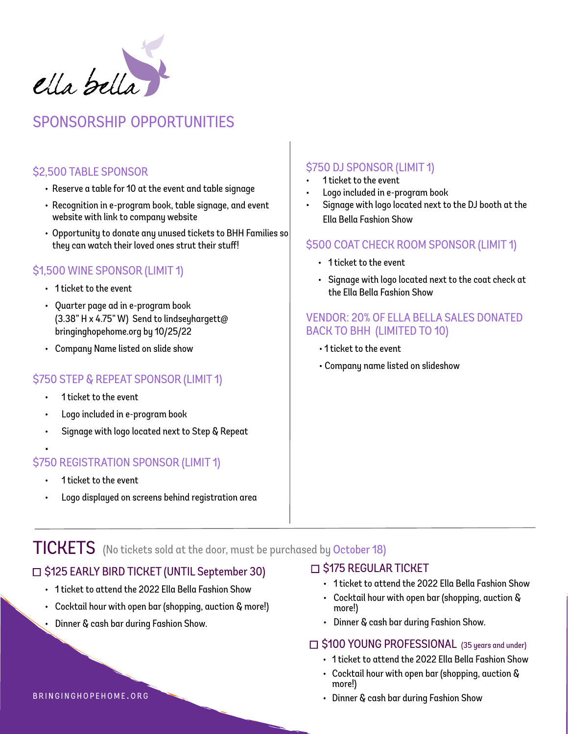

## sponsorship opportunities

#### \$2,500 TABLE SPONSOR

- Reserve a table for 10 at the event and table signage
- Recognition in e-program book, table signage, and event website with link to company website
- Opportunity to donate any unused tickets to BHH Families so they can watch their loved ones strut their stuff!

#### \$1,500 WINE SPONSOR (LIMIT 1)

- 1 ticket to the event
- Quarter page ad in e-program book (3.38" H x 4.75" W) Send to lindseyhargett@ bringinghopehome.org by 10/25/22
- Company Name listed on slide show

#### \$750 STEP & REPEAT SPONSOR (LIMIT 1)

- 1 ticket to the event
- Logo included in e-program book
- Signage with logo located next to Step & Repeat

#### • \$750 REGISTRATION SPONSOR (LIMIT 1)

- 1 ticket to the event
- Logo displayed on screens behind registration area

#### \$750 DJ SPONSOR (LIMIT 1)

- 1 ticket to the event
- Logo included in e-program book
- Signage with logo located next to the DJ booth at the Ella Bella Fashion Show

#### \$500 COAT CHECK ROOM SPONSOR (LIMIT 1)

- 1 ticket to the event
- Signage with logo located next to the coat check at the Ella Bella Fashion Show

#### VENDOR: 20% OF ELLA BELLA SALES DONATED BACK TO BHH (LIMITED TO 10)

- 1 ticket to the event
- Company name listed on slideshow

### TICKETS (No tickets sold at the door, must be purchased by October 18)

#### □ \$125 EARLY BIRD TICKET (UNTIL September 30)

- 1 ticket to attend the 2022 Ella Bella Fashion Show
- Cocktail hour with open bar (shopping, auction & more!)
- Dinner & cash bar during Fashion Show.

#### $\Box$  \$175 REGULAR TICKET

- 1 ticket to attend the 2022 Ella Bella Fashion Show
- Cocktail hour with open bar (shopping, auction & more!)
- Dinner & cash bar during Fashion Show.

#### □ \$100 YOUNG PROFESSIONAL (35 years and under)

- 1 ticket to attend the 2022 Ella Bella Fashion Show
- Cocktail hour with open bar (shopping, auction & more!)
- Dinner & cash bar during Fashion Show

#### BRINGINGHOPEHOME.ORG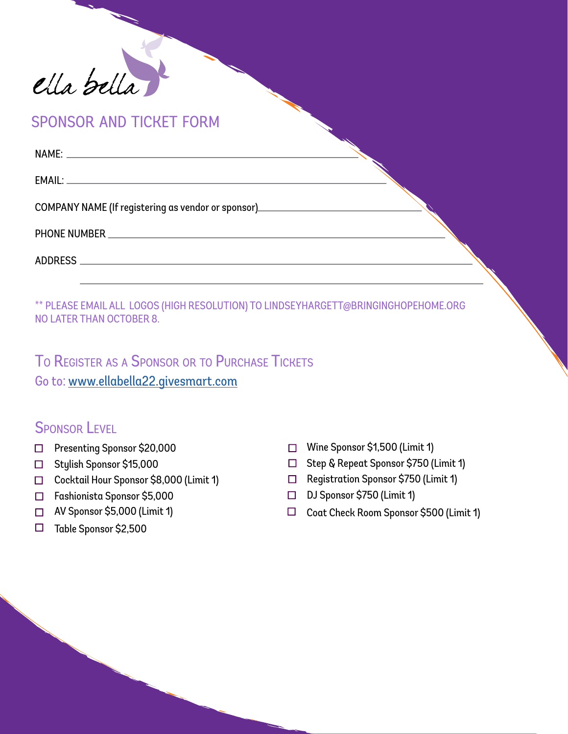

sponsor and ticket form

| COMPANY NAME (If registering as vendor or sponsor)<br><u>COMPANY NAME</u> (If registering as vendor or sponsor) |  |
|-----------------------------------------------------------------------------------------------------------------|--|
|                                                                                                                 |  |
|                                                                                                                 |  |
|                                                                                                                 |  |

\*\* PLEASE EMAIL ALL LOGOS (HIGH RESOLUTION) TO LINDSEYHARGETT@BRINGINGHOPEHOME.ORG NO LATER THAN OCTOBER 8.

TO REGISTER AS A SPONSOR OR TO PURCHASE TICKETS Go to: [www.ellabella22.givesmart.com](https://e.givesmart.com/events/p1D/)

### SPONSOR LEVEL

- □ Presenting Sponsor \$20,000
- n Stylish Sponsor \$15,000
- n Cocktail Hour Sponsor \$8,000 (Limit 1)
- <sup>n</sup> Fashionista Sponsor \$5,000
- □ AV Sponsor \$5,000 (Limit 1)
- $\Box$  Table Sponsor \$2,500
- □ Wine Sponsor \$1,500 (Limit 1)
- n Step & Repeat Sponsor \$750 (Limit 1)
- n Registration Sponsor \$750 (Limit 1)
- □ DJ Sponsor \$750 (Limit 1)
- $\Box$  Coat Check Room Sponsor \$500 (Limit 1)